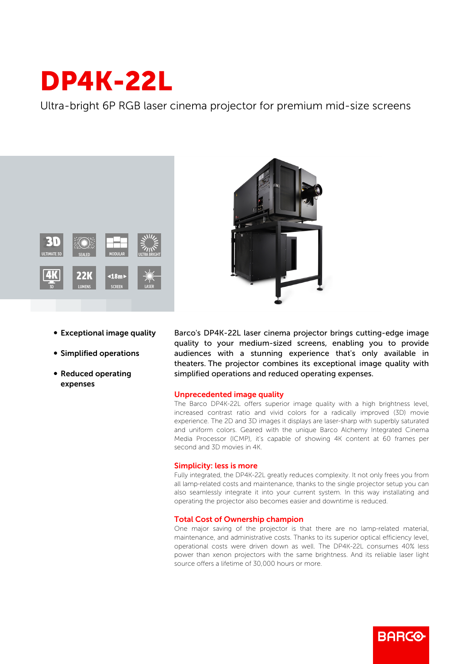# DP4K-22L

Ultra-bright 6P RGB laser cinema projector for premium mid-size screens





- Exceptional image quality
- **Simplified operations**
- Reduced operating expenses

Barco's DP4K-22L laser cinema projector brings cutting-edge image quality to your medium-sized screens, enabling you to provide audiences with a stunning experience that's only available in theaters. The projector combines its exceptional image quality with simplified operations and reduced operating expenses.

## Unprecedented image quality

The Barco DP4K-22L offers superior image quality with a high brightness level, increased contrast ratio and vivid colors for a radically improved (3D) movie experience. The 2D and 3D images it displays are laser-sharp with superbly saturated and uniform colors. Geared with the unique Barco Alchemy Integrated Cinema Media Processor (ICMP), it's capable of showing 4K content at 60 frames per second and 3D movies in 4K.

## Simplicity: less is more

Fully integrated, the DP4K-22L greatly reduces complexity. It not only frees you from all lamp-related costs and maintenance, thanks to the single projector setup you can also seamlessly integrate it into your current system. In this way installating and operating the projector also becomes easier and downtime is reduced.

## Total Cost of Ownership champion

One major saving of the projector is that there are no lamp-related material, maintenance, and administrative costs. Thanks to its superior optical efficiency level, operational costs were driven down as well. The DP4K-22L consumes 40% less power than xenon projectors with the same brightness. And its reliable laser light source offers a lifetime of 30,000 hours or more.